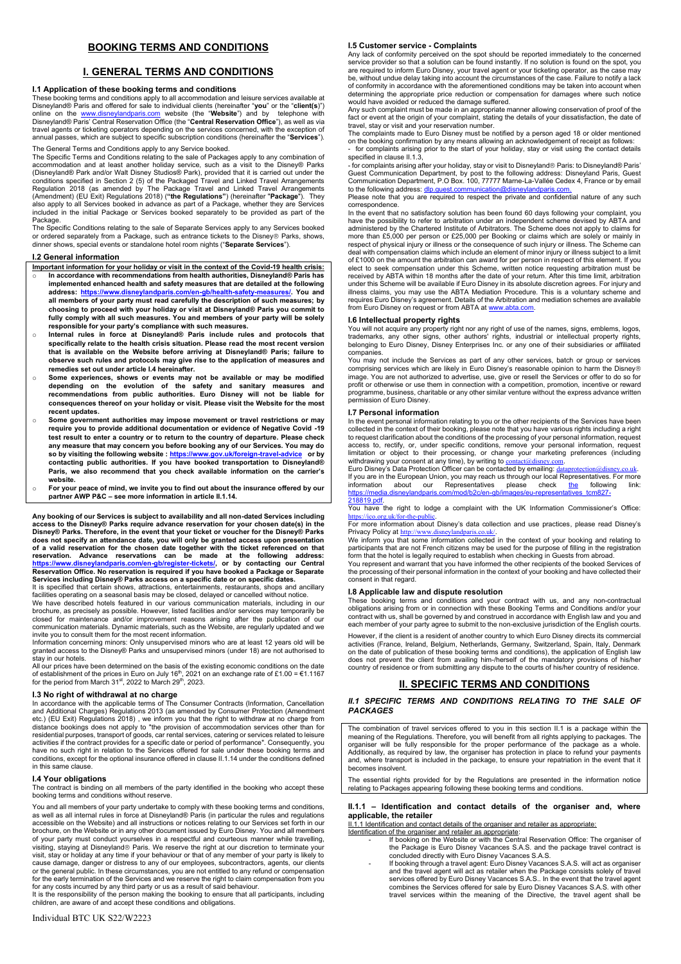## **BOOKING TERMS AND CONDITIONS**

## **I. GENERAL TERMS AND CONDITIONS**

## **I.1 Application of these booking terms and conditions**

These booking terms and conditions apply to all accommodation and leisure services available at<br>Disneyland® Paris and offered for sale to individual clients (hereinafter "**you**" or the "**client(**s)")<br>online on the <u>www.</u> Disneyland® Paris' Central Reservation Office (the "**Central Reservation Office**"), as well as via travel agents or ticketing operators depending on the services concerned, with the exception of<br>annual passes, which are subject to specific subscription conditions (hereinafter the "**Services**"). The General Terms and Conditions apply to any Service booked.

The Specific Terms and Conditions relating to the sale of Packages apply to any combination of<br>accommodation and at least another holiday service, such as a visit to the Disney® Parks<br>(Disneyland® Park and/or Walt Disney S Regulation 2018 (as amended by The Package Travel and Linked Travel Arrangements<br>(Amendment) (EU Exit) Regulations 2018) ("**the Regulations**") (hereinafter "**Package**"). They also apply to all Services booked in advance as part of a Package, whether they are Services included in the initial Package or Services booked separately to be provided as part of the Package.

The Specific Conditions relating to the sale of Separate Services apply to any Services booked<br>or ordered separately from a Package, such as entrance tickets to the Disney® Parks, shows,<br>dinner shows, special events or st

#### **I.2 General information**

**Important information for your holiday or visit in the context of the Covid-19 health crisis:** o **In accordance with recommendations from health authorities, Disneyland® Paris has implemented enhanced health and safety measures that are detailed at the following address: https://www.disneylandparis.com/en-gb/health-safety-measures/. You and all members of your party must read carefully the description of such measures; by choosing to proceed with your holiday or visit at Disneyland® Paris you commit to fully comply with all such measures. You and members of your party will be solely** 

- responsible for your party's compliance with such measures.<br>○ Internal rules in force at Disneyland® Paris include rules and protocols that **specifically relate to the health crisis situation. Please read the most recent version that is available on the Website before arriving at Disneyland® Paris; failure to observe such rules and protocols may give rise to the application of measures and remedies set out under article I.4 hereinafter.**
- Some experiences, shows or events may not be available or may be modified<br>depending on the evolution of the safety and sanitary measures and<br>recommendations from public authorities. Euro Disney will not be liable for<br>conse **recent updates.**
- o **Some government authorities may impose movement or travel restrictions or may require you to provide additional documentation or evidence of Negative Covid -19 test result to enter a country or to return to the country of departure. Please check any measure that may concern you before booking any of our Services. You may do so by visiting the following website : https://www.gov.uk/foreign-travel-advice or by contacting public authorities. If you have booked transportation to Disneyland®**  Paris, we also recommend that you check available information on the carrier's **website.**
- o **For your peace of mind, we invite you to find out about the insurance offered by our partner AWP P&C ± see more information in article II.1.14.**

**Any booking of our Services is subject to availability and all non-dated Services including**  access to the Disney® Parks require advance reservation for your chosen date(s) in the<br>Disney® Parks. Therefore, in the event that your ticket or voucher for the Disney® Parks<br>does not specify an attendance date, you will of a valid reservation for the chosen date together with the ticket referenced on that<br>reservation. Advance reservations can be made at the following address:<br><u>https://www.disneylandparis.com/en-qb/register</u> **Reservation Office. No reservation is required if you have booked a Package or Separate** 

**Services including Disney® Parks access on a specific date or on specific dates.**<br>It is specified that certain shows, attractions, entertainments, restaurants, shops and ancillary<br>facilities operating on a seasonal basis

We have described hotels featured in our various communication materials, including in our brochure, as precisely as possible. However, listed facilities and/or services may temporarily be closed for maintenance and/or improvement reasons arising after the publication of our communication materials. Dynamic materials, such as the Website, are regularly updated and we invite you to consult them for the most recent information.

Information concerning minors: Only unsupervised minors who are at least 12 years old will be granted access to the Disney® Parks and unsupervised minors (under 18) are not authorised to stay in our hotels.

All our prices have been determined on the basis of the existing economic conditions on the date<br>of establishment of the prices in Euro on July 16<sup>th</sup>, 2021 on an exchange rate of £1.00 = €1.1167<br>for the period from March

**I.3 No right of withdrawal at no charge**<br>In accordance with the applicable terms of The Consumer Contracts (Information, Cancellation<br>and Additional Charges) Regulations 2013 (as amended by Consumer Protection (Amendment etc.) (EU Exit) Regulations 2018) , we inform you that the right to withdraw at no charge from distance bookings does not apply to "the provision of accommodation services other than for residential purposes, transport of goods, car rental services, catering or services related to leisure activities if the contract provides for a specific date or period of performance". Consequently, you have no such right in relation to the Services offered for sale under these booking terms and conditions, except for the optional insurance offered in clause II.1.14 under the conditions defined in this same clause.

# **I.4 Your obligations**

The contract is binding on all members of the party identified in the booking who accept these booking terms and conditions without reserve.

You and all members of your party undertake to comply with these booking terms and conditions, as well as all internal rules in force at Disneyland® Paris (in particular the rules and regulations accessible on the Website) and all instructions or notices relating to our Services set forth in our brochure, on the Website or in any other document issued by Euro Disney. You and all members of your party must conduct yourselves in a respectful and courteous manner while travelling, visiting, staying at Disneyland® Paris. We reserve the right at our discretion to terminate your<br>visit, stay or holiday at any time if your behaviour or that of any member of your party is likely to cause damage, danger or distress to any of our employees, subcontractors, agents, our clients or the general public. In these circumstances, you are not entitled to any refund or compensation for the early termination of the Services and we reserve the right to claim compensation from you for any costs incurred by any third party or us as a result of said behaviour.

It is the responsibility of the person making the booking to ensure that all participants, including children, are aware of and accept these conditions and obligations.

#### **I.5 Customer service - Complaints**

Any lack of conformity perceived on the spot should be reported immediately to the concerned service provider so that a solution can be found instantly. If no solution is found on the spot, you are required to inform Euro Disney, your travel agent or your ticketing operator, as the case may be, without undue delay taking into account the circumstances of the case. Failure to notify a lack<br>of conformity in accordance with the aforementioned conditions may be taken into account when<br>determining the appropriate would have avoided or reduced the damage suffered.

Any such complaint must be made in an appropriate manner allowing conservation of proof of the fact or event at the origin of your complaint, stating the details of your dissatisfaction, the date of travel, stay or visit and your reservation number.

The complaints made to Euro Disney must be notified by a person aged 18 or older mentioned on the booking confirmation by any means allowing an acknowledgement of receipt as follows: - for complaints arising prior to the start of your holiday, stay or visit using the contact details specified in clause II.1.3,

- for complaints arising after your holiday, stay or visit to Disneyland® Paris: to Disneyland® Paris'<br>Guest Communication Department, by post to the following address: Disneyland Paris, Guest<br>Communication Department, P.O to the following address: dlp.gu

Please note that you are required to respect the private and confidential nature of any such correspondence.

In the event that no satisfactory solution has been found 60 days following your complaint, you have the possibility to refer to arbitration under an independent scheme devised by ABTA and administered by the Chartered Institute of Arbitrators. The Scheme does not apply to claims for more than £5,000 per person or £25,000 per Booking or claims which are solely or mainly in respect of physical injury or illness or the consequence of such injury or illness. The Scheme can deal with compensation claims which include an element of minor injury or illness subject to a limit of £1000 on the amount the arbitration can award for per person in respect of this element. If you elect to seek compensation under this Scheme, written notice requesting arbitration must be received by ABTA within 18 months after the date of your return. After this time limit, arbitration under this Scheme will be available if Euro Disney in its absolute discretion agrees. For injury and<br>illness claims, you may use the ABTA Mediation Procedure. This is a voluntary scheme and<br>requires Euro Disney's agreement from Euro Disney on request or from ABTA at www.abta.com.

## **I.6 Intellectual property rights**

You will not acquire any property right nor any right of use of the names, signs, emblems, logos,<br>trademarks, any other signs, other authors' rights, industrial or intellectual property rights,<br>belonging to Euro companies.

You may not include the Services as part of any other services, batch or group or services comprising services which are likely in Euro Disney's reasonable opinion to harm the Disney® image. You are not authorized to advertise, use, give or resell the Services or offer to do so for profit or otherwise or use them in connection with a competition, promotion, incentive or reward programme, business, charitable or any other similar venture without the express advance written permission of Euro Disney.

### **I.7 Personal information**

In the event personal information relating to you or the other recipients of the Services have been collected in the context of their booking, please note that you have various rights including a right to request clarification about the conditions of the processing of your personal information, request access to, rectify, or, under specific conditions, remove your personal information, request limitation or object to their processing, or change your marketing preferences (including withdrawing your consent at any time), by writing to <u>contact@disney.com</u>.<br>Euro Disney's Data Protection Officer can be contacted by emailing: <u>dataprotection@disney.co.uk</u>.

If you are in the European Union, you may reach us through our local Representatives. For more information about our Representatives please check the following link: is European Smart, you may reach as a model.<br>
about our Representatives please<br>
disnevlandparis.com/mod/b2c/en-ab/images/eu https://media.disneylandparis.com/mod/b2c/en-gb/images/eu-representatives 218819.pdf.

**You have the right to lodge a complaint with the UK Information Commissioner's Office:**  $\frac{h}{\cos \theta}$ .uk/for-the-public.

RUP RUG DERXW THE DERIVED DERIVED DERIVED STATES OF THE DERIVED FROM THE DERIVED SUBFURING THE DERIVED OF DERXY SUBFURING THE DESIGN OF DERIVED OF DERIVED OF DERXY SUBFURING THE DERIVED OF DERIVED OF DERIVED OF DERIVED OF Privacy Policy at http://www.disneyl

We inform you that some information collected in the context of your booking and relating to participants that are not French citizens may be used for the purpose of filling in the registration form that the hotel is legally required to establish when checking in Guests from abroad.

You represent and warrant that you have informed the other recipients of the booked Services of the processing of their personal information in the context of your booking and have collected their consent in that regard.

#### **I.8 Applicable law and dispute resolution**

These booking terms and conditions and your contract with us, and any non-contractual<br>obligations arising from or in connection with these Booking Terms and Conditions and/or your<br>contract.with.us, shall be governed by and each member of your party agree to submit to the non-exclusive jurisdiction of the English courts.

However, if the client is a resident of another country to which Euro Disney directs its commercial activities (France, Ireland, Belgium, Netherlands, Germany, Switzerland, Spain, Italy, Denmark on the date of publication of these booking terms and conditions), the application of English law does not prevent the client from availing him-/herself of the mandatory provisions of his/her country of residence or from submitting any dispute to the courts of his/her country of residence.

## **II. SPECIFIC TERMS AND CONDITIONS**

#### *II.1 SPECIFIC TERMS AND CONDITIONS RELATING TO THE SALE OF PACKAGES*

The combination of travel services offered to you in this section II.1 is a package within the<br>meaning of the Regulations. Therefore, you will benefit from all rights applying to packages. The<br>organiser will be fully respo Additionally, as required by law, the organiser has protection in place to refund your payments and, where transport is included in the package, to ensure your repatriation in the event that it becomes insolvent.

The essential rights provided for by the Regulations are presented in the information notice relating to Packages appearing following these booking terms and conditions.

### **II.1.1 ± Identification and contact details of the organiser and, where applicable, the retailer**

II.1.1 Identification and contact details of the organiser and retailer as appropriate:

- Identification of the organiser and retailer as appropriate:<br>- If booking on the Website or with the Central Reservation Office: The organiser of
	- the Package is Euro Disney Vacances S.A.S. and the package travel contract is concluded directly with Euro Disney Vacances S.A.S.
	- If booking through a travel agent: Euro Disney Vacances S.A.S. will act as organiser and the travel agent will act as retailer when the Package consists solely of travel services offered by Euro Disney Vacances S.A.S.. In the event that the travel agent combines the Services offered for sale by Euro Disney Vacances S.A.S. with other travel services within the meaning of the Directive, the travel agent shall be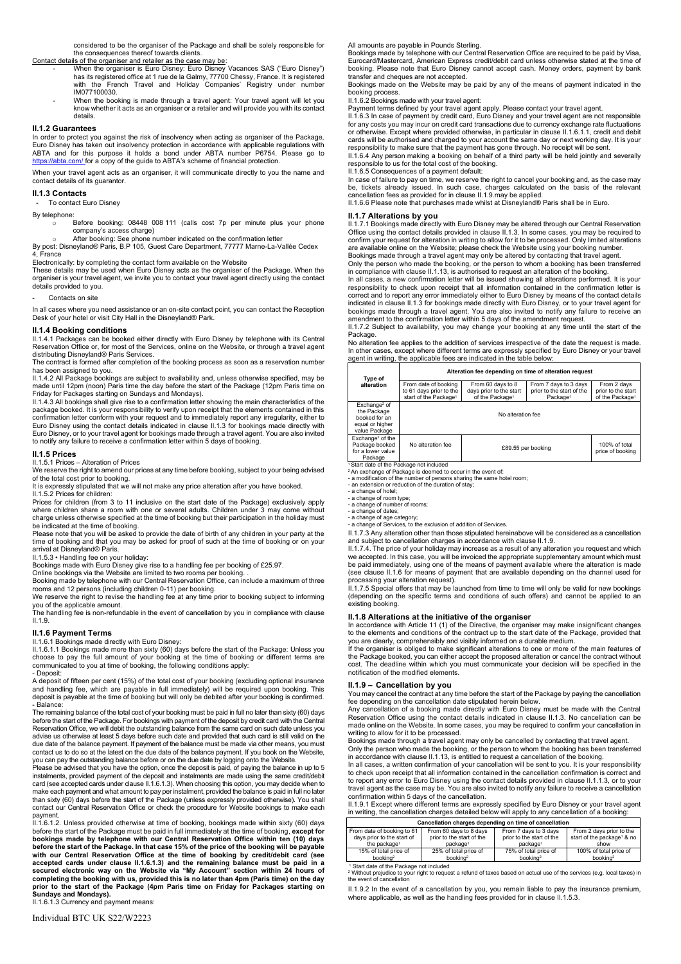considered to be the organiser of the Package and shall be solely responsible for the consequences thereof towards clients.

- Contact details of the organiser and retailer as the case may be:<br>- When the organiser is Euro Disney: Euro Disney Vacances SAS ("Euro Disney") has its registered office at 1 rue de la Galmy, 77700 Chessy, France. It is registered<br>with the French Travel and Holiday Companies' Registry under number IM077100030.
	- When the booking is made through a travel agent: Your travel agent will let you know whether it acts as an organiser or a retailer and will provide you with its contact details.

#### **II.1.2 Guarantees**

In order to protect you against the risk of insolvency when acting as organiser of the Package, Euro Disney has taken out insolvency protection in accordance with applicable regulations with ABTA and for this purpose it holds a bond under ABTA number P6754. Please go to https://abta.com/ Inchessed.com/ Inchessed.com/ Inchessed.com/ Inchessed.com/ Inchessed.com/ Inchessed.com/ Inchessed.com/

When your travel agent acts as an organiser, it will communicate directly to you the name and contact details of its guarantor.

## **II.1.3 Contacts**

To contact Euro Disney

#### By telephone:

o Before booking: 08448 008 111 (calls cost 7p per minute plus your phone<br>
company's access charge)<br>
∧ After booking: See phone number indicated on the confirmation letter

By post: Disneyland® Paris, B.P 105, Guest Care Department, 77777 Marne-La-Vallée Cedex 4, France

Electronically: by completing the contact form available on the Website These details may be used when Euro Disney acts as the organiser of the Package. When the organiser is your travel agent, we invite you to contact your travel agent directly using the contact details provided to you.

Contacts on site

In all cases where you need assistance or an on-site contact point, you can contact the Reception Desk of your hotel or visit City Hall in the Disneyland® Park.

## **II.1.4 Booking conditions**

II.1.4.1 Packages can be booked either directly with Euro Disney by telephone with its Central Reservation Office or, for most of the Services, online on the Website, or through a travel agent distributing Disneyland® Paris Services.

The contract is formed after completion of the booking process as soon as a reservation number has been assigned to you.

II.1.4.2 All Package bookings are subject to availability and, unless otherwise specified, may be made until 12pm (noon) Paris time the day before the start of the Package (12pm Paris time on

Friday for Packages starting on Sundays and Mondays).<br>II.1.4.3 All bookings shall give rise to a confirmation letter showing the main characteristics of the<br>package booked. It is your responsibility to verify upon receipt confirmation letter conform with your request and to immediately report any irregularity, either to Euro Disney using the contact details indicated in clause II.1.3 for bookings made directly with Euro Disney, or to your travel agent for bookings made through a travel agent. You are also invited to notify any failure to receive a confirmation letter within 5 days of booking.

#### **II.1.5 Prices**

II.1.5.1 Prices - Alteration of Prices

We reserve the right to amend our prices at any time before booking, subject to your being advised of the total cost prior to booking.

It is expressly stipulated that we will not make any price alteration after you have booked.

II.1.5.2 Prices for children: Prices for children (from 3 to 11 inclusive on the start date of the Package) exclusively apply where children share a room with one or several adults. Children under 3 may come without charge unless otherwise specified at the time of booking but their participation in the holiday must be indicated at the time of booking.

Please note that you will be asked to provide the date of birth of any children in your party at the time of booking and that you may be asked for proof of such at the time of booking or on your arrival at Disneyland® Paris.

II.1.5.3 ∙ Handling fee on your holiday:<br>Bookings made with Euro Disney give rise to a handling fee per booking of £25.97.

Online bookings via the Website are limited to two rooms per booking. .<br>Booking made by telephone with our Central Reservation Office, can include a maximum of three<br>rooms and 12 persons (including children 0-11) per booki We reserve the right to revise the handling fee at any time prior to booking subject to informing

you of the applicable amount. The handling fee is non-refundable in the event of cancellation by you in compliance with clause II.1.9.

## **II.1.6 Payment Terms**

#### II.1.6.1 Bookings made directly with Euro Disney:

II.1.6.1.1 Bookings made more than sixty (60) days before the start of the Package: Unless you choose to pay the full amount of your booking at the time of booking or different terms are communicated to you at time of booking, the following conditions apply: - Deposit:

A deposit of fifteen per cent (15%) of the total cost of your booking (excluding optional insurance and handling fee, which are payable in full immediately) will be required upon booking. This deposit is payable at the time of booking but will only be debited after your booking is confirmed. - Balance:

The remaining balance of the total cost of your booking must be paid in full no later than sixty (60) days before the start of the Package. For bookings with payment of the deposit by credit card with the Central Reservation Office, we will debit the outstanding balance from the same card on such date unless you advise us otherwise at least 5 days before such date and provided that such card is still valid on the due date of the balance payment. If payment of the balance must be made via other means, you must contact us to do so at the latest on the due date of the balance payment. If you book on the Website,

you can pay the outstanding balance before or on the due date by logging onto the Website. Please be advised that you have the option, once the deposit is paid, of paying the balance in up to 5 instalments, provided payment of the deposit and instalments are made using the same credit/debit card (see accepted cards under clause II.1.6.1.3). When choosing this option, you may decide when to make each payment and what amount to pay per instalment, provided the balance is paid in full no later than sixty (60) days before the start of the Package (unless expressly provided otherwise). You shall contact our Central Reservation Office or check the procedure for Website bookings to make each

payment. II.1.6.1.2. Unless provided otherwise at time of booking, bookings made within sixty (60) days before the start of the Package must be paid in full immediately at the time of booking, **except for bookings made by telephone with our Central Reservation Office within ten (10) days**  before the start of the Package. In that case 15% of the price of the booking will be payable<br>with our Central Reservation Office at the time of booking by credit/debit card (see<br>accepted cards under clause II.1.6.1.3) and **prior to the start of the Package (4pm Paris time on Friday for Packages starting on Sundays and Mondays).** II.1.6.1.3 Currency and payment means:

#### All amounts are payable in Pounds Sterling.

Bookings made by telephone with our Central Reservation Office are required to be paid by Visa, Eurocard/Mastercard, American Express credit/debit card unless otherwise stated at the time of booking. Please note that Euro Disney cannot accept cash. Money orders, payment by bank transfer and cheques are not accepted. Bookings made on the Website may be paid by any of the means of payment indicated in the

booking process.

#### II.1.6.2 Bookings made with your travel agent:

Payment terms defined by your travel agent apply. Please contact your travel agent. II.1.6.3 In case of payment by credit card, Euro Disney and your travel agent are not responsible for any costs you may incur on credit card transactions due to currency exchange rate fluctuations or otherwise. Except where provided otherwise, in particular in clause II.1.6.1.1, credit and debit cards will be authorised and charged to your account the same day or next working day. It is your responsibility to make sure that the payment has gone through. No receipt will be sent.

II.1.6.4 Any person making a booking on behalf of a third party will be held jointly and severally responsible to us for the total cost of the booking.

#### II.1.6.5 Consequences of a payment default:

In case of failure to pay on time, we reserve the right to cancel your booking and, as the case may be, tickets already issued. In such case, charges calculated on the basis of the relevant cancellation fees as provided for in clause II.1.9.may be applied.

II.1.6.6 Please note that purchases made whilst at Disneyland® Paris shall be in Euro.

### **II.1.7 Alterations by you**

II.1.7.1 Bookings made directly with Euro Disney may be altered through our Central Reservation<br>Office using the contact details provided in clause II.1.3. In some cases, you may be required to confirm your request for alteration in writing to allow for it to be processed. Only limited alterations are available online on the Website; please check the Website using your booking number.

Bookings made through a travel agent may only be altered by contacting that travel agent. Only the person who made the booking, or the person to whom a booking has been transferred in compliance with clause II.1.13, is authorised to request an alteration of the booking.

In all cases, a new confirmation letter will be issued showing all alterations performed. It is your responsibility to check upon receipt that all information contained in the confirmation letter is correct and to report any error immediately either to Euro Disney by means of the contact details indicated in clause II.1.3 for bookings made directly with Euro Disney, or to your travel agent for bookings made through a travel agent. You are also invited to notify any failure to receive an amendment to the confirmation letter within 5 days of the amendment request.

II.1.7.2 Subject to availability, you may change your booking at any time until the start of the Package.

No alteration fee applies to the addition of services irrespective of the date the request is made. In other cases, except where different terms are expressly specified by Euro Disney or your travel agent in writing, the applicable fees are indicated in the table below:

#### **Type of alteration Alteration fee depending on time of alteration request** From date of booking to 61 days prior to the start of the Package From 60 days to 8 days prior to the start of the Package1 From 7 days to 3 days prior to the start of the Package<sup>1</sup> From 2 days prior to the start of the Package<sup>1</sup> ange the Package booked for an equal or higher value Package No alteration fee Exchange2 of the Package booked for a lower value No alteration fee **E89.55** per booking 100% of total price of booking

Package<br>
Start date of the Package not included<br>
<sup>2</sup>An exchange of Package is deemed to occur in the event of:<br>
- a modification of the number of persons sharing the same hotel room;<br>
- an extension or reduction of the dur

- a change of age category; - a change of Services, to the exclusion of addition of Services.

II.1.7.3 Any alteration other than those stipulated hereinabove will be considered as a cancellation and subject to cancellation charges in accordance with clause II.1.9.

II.1.7.4. The price of your holiday may increase as a result of any alteration you request and which we accepted. In this case, you will be invoiced the appropriate supplementary amount which must be paid immediately, using one of the means of payment available where the alteration is made (see clause II.1.6 for means of payment that are available depending on the channel used for

processing your alteration request). II.1.7.5 Special offers that may be launched from time to time will only be valid for new bookings (depending on the specific terms and conditions of such offers) and cannot be applied to an existing booking.

#### **II.1.8 Alterations at the initiative of the organiser**

In accordance with Article 11 (1) of the Directive, the organiser may make insignificant changes to the elements and conditions of the contract up to the start date of the Package, provided that

you are clearly, comprehensibly and visibly informed on a durable medium. If the organiser is obliged to make significant alterations to one or more of the main features of the Package booked, you can either accept the proposed alteration or cancel the contract without cost. The deadline within which you must communicate your decision will be specified in the notification of the modified elements.

## **II.1.9 ± Cancellation by you**

You may cancel the contract at any time before the start of the Package by paying the cancellation fee depending on the cancellation date stipulated herein below.

Any cancellation of a booking made directly with Euro Disney must be made with the Central Reservation Office using the contact details indicated in clause II.1.3. No cancellation can be made online on the Website. In some cases, you may be required to confirm your cancellation in writing to allow for it to be processed.

Bookings made through a travel agent may only be cancelled by contacting that travel agent. Only the person who made the booking, or the person to whom the booking has been transferred in accordance with clause II.1.13, is entitled to request a cancellation of the booking.

In all cases, a written confirmation of your cancellation will be sent to you. It is your responsibility to check upon receipt that all information contained in the cancellation confirmation is correct and to report any error to Euro Disney using the contact details provided in clause II.1.1.3, or to your travel agent as the case may be. You are also invited to notify any failure to receive a cancellation confirmation within 5 days of the cancellation.

II.1.9.1 Except where different terms are expressly specified by Euro Disney or your travel agent in writing, the cancellation charges detailed below will apply to any cancellation of a booking:

| Cancellation charges depending on time of cancellation |                           |                           |                                        |
|--------------------------------------------------------|---------------------------|---------------------------|----------------------------------------|
| From date of booking to 61                             | From 60 days to 8 days    | From 7 days to 3 days     | From 2 days prior to the               |
| days prior to the start of                             | prior to the start of the | prior to the start of the | start of the package <sup>1</sup> & no |
| the package <sup>1</sup>                               | package <sup>1</sup>      | package <sup>1</sup>      | show                                   |
| 15% of total price of                                  | 25% of total price of     | 75% of total price of     | 100% of total price of                 |
| hooking?                                               | hooking?                  | hooking?                  | hooking?                               |

booking2<br>
<sup>1</sup> Start date of the Package not included<br>
<sup>2</sup> Without prejudice to your right to request a refund of taxes based on actual use of the services (e.g. local taxes) in<br>
the event of cancellation

II.1.9.2 In the event of a cancellation by you, you remain liable to pay the insurance premium,<br>where applicable, as well as the handling fees provided for in clause II.1.5.3.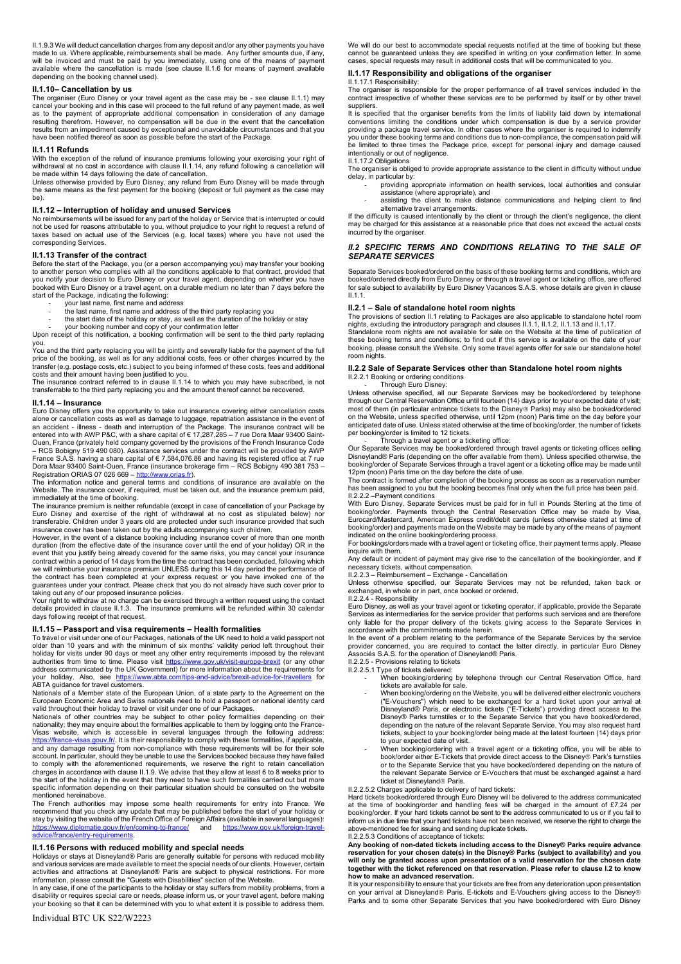II.1.9.3 We will deduct cancellation charges from any deposit and/or any other payments you have made to us. Where applicable, reimbursements shall be made. Any further amounts due, if any, will be invoiced and must be paid by you immediately, using one of the means of payment available where the cancellation is made (see clause II.1.6 for means of payment available depending on the booking channel used).

#### **II.1.10± Cancellation by us**

The organiser (Euro Disney or your travel agent as the case may be - see clause II.1.1) may cancel your booking and in this case will proceed to the full refund of any payment made, as well as to the payment of appropriate additional compensation in consideration of any damage resulting therefrom. However, no compensation will be due in the event that the cancellation results from an impediment caused by exceptional and unavoidable circumstances and that you have been notified thereof as soon as possible before the start of the Package.

#### **II.1.11 Refunds**

With the exception of the refund of insurance premiums following your exercising your right of withdrawal at no cost in accordance with clause II.1.14, any refund following a cancellation will be made within 14 days following the date of cancellation.

Unless otherwise provided by Euro Disney, any refund from Euro Disney will be made through the same means as the first payment for the booking (deposit or full payment as the case may be).

**II.1.12 ± Interruption of holiday and unused Services** No reimbursements will be issued for any part of the holiday or Service that is interrupted or could not be used for reasons attributable to you, without prejudice to your right to request a refund of taxes based on actual use of the Services (e.g. local taxes) where you have not used the corresponding Services.

#### **II.1.13 Transfer of the contract**

Before the start of the Package, you (or a person accompanying you) may transfer your booking to another person who complies with all the conditions applicable to that contract, provided that you notify your decision to Euro Disney or your travel agent, depending on whether you have booked with Euro Disney or a travel agent, on a durable medium no later than 7 days before the start of the Package, indicating the following:

- your last name, first name and address
- the last name, first name and address of the third party replacing you
- the start date of the holiday or stay, as well as the duration of the holiday or stay

- your booking number and copy of your confirmation letter Upon receipt of this notification, a booking confirmation will be sent to the third party replacing

you. You and the third party replacing you will be jointly and severally liable for the payment of the full

price of the booking, as well as for any additional costs, fees or other charges incurred by the transfer (e.g. postage costs, etc.) subject to you being informed of these costs, fees and additional costs and their amount having been justified to you. The insurance contract referred to in clause II.1.14 to which you may have subscribed, is not

transferrable to the third party replacing you and the amount thereof cannot be recovered.

#### **II.1.14 ± Insurance**

Euro Disney offers you the opportunity to take out insurance covering either cancellation costs alone or cancellation costs as well as damage to luggage, repatriation assistance in the event of<br>an accident - illness - death and interruption of the Package. The insurance contract will be<br>entered into with AWP P&C, wi Ouen, France (privately held company governed by the provisions of the French Insurance Code – RCS Bobigny 519 490 080). Assistance services under the contract will be provided by AWP<br>France S.A.S. having a share capital of € 7,584,076.86 and having its registered office at 7 rue<br>Dora Maar 93400 Saint-Ouen, France

Registration ORIAS 07 026 669 – <u>http://www.orias.fr</u>).<br>The information notice and general terms and conditions of insurance are available on the Website. The insurance cover, if required, must be taken out, and the insurance premium paid, immediately at the time of booking.

The insurance premium is neither refundable (except in case of cancellation of your Package by Euro Disney and exercise of the right of withdrawal at no cost as stipulated below) nor transferable. Children under 3 years old are protected under such insurance provided that such<br>insurance cover has been taken out by the adults accompanying such children.<br>However, in the event of a distance booking includ

duration (from the effective date of the insurance cover until the end of your holiday) OR in the event that you justify being already covered for the same risks, you may cancel your insurance<br>contract within a period of 14 days from the time the contract has been concluded, following which<br>we will reimburse your insur

taking out any of our proposed insurance policies.<br>Your right to withdraw at no charge can be exercised through a written request using the contact<br>details provided in clause II.1.3. The insurance premiums will be refunde days following receipt of that request.

#### **II.1.15 ± Passport and visa requirements ± Health formalities**

To travel or visit under one of our Packages, nationals of the UK need to hold a valid passport not<br>older than 10 years and with the minimum of six months' validity period left throughout their holiday for visits under 90 days or meet any other entry requirements imposed by the relevant<br>authorities from time to time. Please visit https://www.gov.uk/visit-europe-brexit (or any other address communicated by the UK Government) for more information about the requirements for your holiday. Also, see https://www.abta.com/tips-and-advice/brexit-advice-for-travellers for your holiday. Also, see <u>https://www.abta.com/tips-and-advice/brexit-advice-for-travellers</u> for<br>ABTA guidance for*travel customers*.

Nationals of a Member state of the European Union, of a state party to the Agreement on the European Economic Area and Swiss nationals need to hold a passport or national identity card

valid throughout their holiday to travel or visit under one of our Packages. Nationals of other countries may be subject to other policy formalities depending on their nationality; they may enquire about the formalities applicable to them by logging onto the France-Visas website, which is accessible in several languages through the following address: https://france-visas.gouv.fr/. It is their responsibility to comply with these formalities, if applicable, and any damage resulting from non-compliance with these requirements will be for their sole account. In particular, should they be unable to use the Services booked because they have failed to comply with the aforementioned requirements, we reserve the right to retain cancellation charges in accordance with clause II.1.9. We advise that they allow at least 6 to 8 weeks prior to the start of the holiday in the event that they need to have such formalities carried out but more specific information depending on their particular situation should be consulted on the website mentioned hereinabove.

The French authorities may impose some health requirements for entry into France. We recommend that you check any update that may be published before the start of your holiday or stay by visiting the website of the French Office of Foreign Affairs (available in several languages):<br>https://www.diplomatie.gouv.fr/en/coming-to-france/ and https://www.gov.uk/foreign-travelww.diplomatie.gouv.fr/en/coming-to-france/ and https://www.diplomatie.gov.uk/foreignadvice/france/entry-requirements.

# **II.1.16 Persons with reduced mobility and special needs**

Holidays or stays at Disneyland® Paris are generally suitable for persons with reduced mobility and various services are made available to meet the special needs of our clients. However, certain activities and attractions at Disneyland® Paris are subject to physical restrictions. For more

information, please consult the "Guests with Disabilities" section of the Website. In any case, if one of the participants to the holiday or stay suffers from mobility problems, from a disability or requires special care or needs, please inform us, or your travel agent, before making your booking so that it can be determined with you to what extent it is possible to address them.

We will do our best to accommodate special requests notified at the time of booking but these cannot be guaranteed unless they are specified in writing on your confirmation letter. In some cases, special requests may result in additional costs that will be communicated to you.

## **II.1.17 Responsibility and obligations of the organiser**

II.1.17.1 Responsibility:

The organiser is responsible for the proper performance of all travel services included in the contract irrespective of whether these services are to be performed by itself or by other travel suppliers.

It is specified that the organiser benefits from the limits of liability laid down by international conventions limiting the conditions under which compensation is due by a service provider providing a package travel service. In other cases where the organiser is required to indemnify you under these booking terms and conditions due to non-compliance, the compensation paid will be limited to three times the Package price, except for personal injury and damage caused intentionally or out of negligence. II.1.17.2 Obligations

The organiser is obliged to provide appropriate assistance to the client in difficulty without undue delay, in particular by:

- providing appropriate information on health services, local authorities and consular assistance (where appropriate), and
- assisting the client to make distance communications and helping client to find alternative travel arrangements.

If the difficulty is caused intentionally by the client or through the client's negligence, the client may be charged for this assistance at a reasonable price that does not exceed the actual costs incurred by the organiser.

### *II.2 SPECIFIC TERMS AND CONDITIONS RELATING TO THE SALE OF SEPARATE SERVICES*

Separate Services booked/ordered on the basis of these booking terms and conditions, which are booked/ordered directly from Euro Disney or through a travel agent or ticketing office, are offered for sale subject to availability by Euro Disney Vacances S.A.S. whose details are given in clause II.1.1.

#### **II.2.1 ± Sale of standalone hotel room nights**

The provisions of section II.1 relating to Packages are also applicable to standalone hotel room nights, excluding the introductory paragraph and clauses II.1.1, II.1.2, II.1.13 and II.1.17

Standalone room nights are not available for sale on the Website at the time of publication of these booking terms and conditions; to find out if this service is available on the date of your booking, please consult the Website. Only some travel agents offer for sale our standalone hotel room nights.

#### **II.2.2 Sale of Separate Services other than Standalone hotel room nights** II.2.2.1 Booking or ordering conditions

Through Euro Disney:

Unless otherwise specified, all our Separate Services may be booked/ordered by telephone through our Central Reservation Office until fourteen (14) days prior to your expected date of visit; most of them (in particular entrance tickets to the Disney£ Parks) may also be booked/ordered on the Website, unless specified otherwise, until 12pm (noon) Paris time on the day before your anticipated date of use. Unless stated otherwise at the time of booking/order, the number of tickets per booking/order is limited to 12 tickets. - Through a travel agent or a ticketing office:

Our Separate Services may be booked/ordered through travel agents or ticketing offices selling Disneyland® Paris (depending on the offer available from them). Unless specified otherwise, the booking/order of Separate Services through a travel agent or a ticketing office may be made until 12pm (noon) Paris time on the day before the date of use.

The contract is formed after completion of the booking process as soon as a reservation number has been assigned to you but the booking becomes final only when the full price has been paid. II.2.2.2 - Payment conditions

With Euro Disney, Separate Services must be paid for in full in Pounds Sterling at the time of booking/order. Payments through the Central Reservation Office may be made by Visa, Eurocard/Mastercard, American Express credit/debit cards (unless otherwise stated at time of booking/order) and payments made on the Website may be made by any of the means of payment indicated on the online booking/ordering process. For bookings/orders made with a travel agent or ticketing office, their payment terms apply. Please

inquire with them.

Any default or incident of payment may give rise to the cancellation of the booking/order, and if<br>Any default or incident of payment may give rise to the cancellation of the booking/order, and if necessary tickets, without compensation.<br>II.2.2.3 – Reimbursement – Exchange - Cancellation<br>Unless otherwise specified, our Separate Services may not be refunded, taken back or

exchanged, in whole or in part, once booked or ordered.

II.2.2.4 - Responsibility

Euro Disney, as well as your travel agent or ticketing operator, if applicable, provide the Separate Services as intermediaries for the service provider that performs such services and are therefore only liable for the proper delivery of the tickets giving access to the Separate Services in accordance with the commitments made herein.

In the event of a problem relating to the performance of the Separate Services by the service provider concerned, you are required to contact the latter directly, in particular Euro Disney Associés S.A.S. for the operation of Disneyland® Paris. II.2.2.5 - Provisions relating to tickets

- II.2.2.5.1 Type of tickets delivered:<br>- When booking/ordering by telephone through our Central Reservation Office, hard tickets are available for sale.
	- When booking/ordering on the Website, you will be delivered either electronic vouchers ("E-Vouchers") which need to be exchanged for a hard ticket upon your arrival at<br>Disneyland® Paris, or electronic tickets ("E-Tickets") providing direct access to the<br>Disney® Parks turnstiles or to the Separate Service tha depending on the nature of the relevant Separate Service. You may also request hard tickets, subject to your booking/order being made at the latest fourteen (14) days prior
	- to your expected date of visit. When booking/ordering with a travel agent or a ticketing office, you will be able to book/order either E-Tickets that provide direct access to the Disney® Park's turnstiles<br>or to the Separate Service that you have booked/ordered depending on the nature of the relevant Separate Service or E-Vouchers that must be exchanged against a hard ticket at Disneyland® Paris.

#### II.2.2.5.2 Charges applicable to delivery of hard tickets:

Hard tickets booked/ordered through Euro Disney will be delivered to the address communicated at the time of booking/order and handling fees will be charged in the amount of £7.24 per booking/order. If your hard tickets cannot be sent to the address communicated to us or if you fail to inform us in due time that your hard tickets have not been received, we reserve the right to charge the above-mentioned fee for issuing and sending duplicate tickets.

#### II.2.2.5.3 Conditions of acceptance of tickets:

Any booking of non-dated tickets including access to the Disney® Parks require advance<br>reservation for your chosen date(s) in the Disney® Parks (subject to availability) and you<br>will only be granted access upon presentat **together with the ticket referenced on that reservation. Please refer to clause I.2 to know how to make an advanced reservation.**

It is your responsibility to ensure that your tickets are free from any deterioration upon presentation on your arrival at Disneyland® Paris. E-tickets and E-Vouchers giving access to the Disney® Parks and to some other Separate Services that you have booked/ordered with Euro Disney